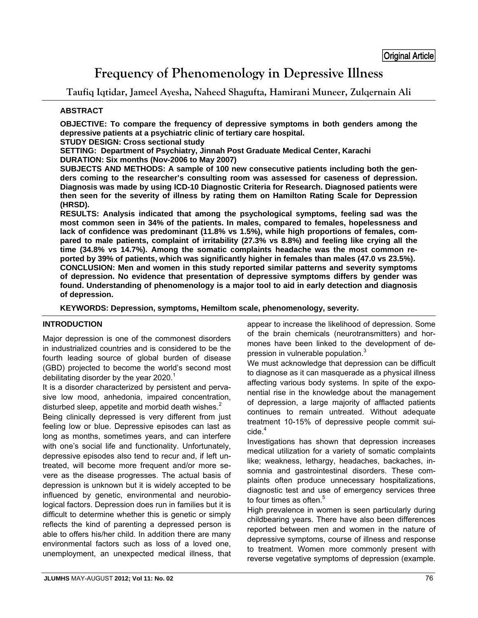# **Frequency of Phenomenology in Depressive Illness**

**Taufiq Iqtidar, Jameel Ayesha, Naheed Shagufta, Hamirani Muneer, Zulqernain Ali** 

# **ABSTRACT**

**OBJECTIVE: To compare the frequency of depressive symptoms in both genders among the depressive patients at a psychiatric clinic of tertiary care hospital.** 

**STUDY DESIGN: Cross sectional study** 

**SETTING: Department of Psychiatry, Jinnah Post Graduate Medical Center, Karachi DURATION: Six months (Nov-2006 to May 2007)** 

**SUBJECTS AND METHODS: A sample of 100 new consecutive patients including both the genders coming to the researcher's consulting room was assessed for caseness of depression. Diagnosis was made by using ICD-10 Diagnostic Criteria for Research. Diagnosed patients were then seen for the severity of illness by rating them on Hamilton Rating Scale for Depression (HRSD).** 

**RESULTS: Analysis indicated that among the psychological symptoms, feeling sad was the most common seen in 34% of the patients. In males, compared to females, hopelessness and lack of confidence was predominant (11.8% vs 1.5%), while high proportions of females, compared to male patients, complaint of irritability (27.3% vs 8.8%) and feeling like crying all the time (34.8% vs 14.7%). Among the somatic complaints headache was the most common reported by 39% of patients, which was significantly higher in females than males (47.0 vs 23.5%). CONCLUSION: Men and women in this study reported similar patterns and severity symptoms of depression. No evidence that presentation of depressive symptoms differs by gender was found. Understanding of phenomenology is a major tool to aid in early detection and diagnosis of depression.** 

**KEYWORDS: Depression, symptoms, Hemiltom scale, phenomenology, severity.** 

# **INTRODUCTION**

Major depression is one of the commonest disorders in industrialized countries and is considered to be the fourth leading source of global burden of disease (GBD) projected to become the world's second most debilitating disorder by the year 2020.<sup>1</sup>

It is a disorder characterized by persistent and pervasive low mood, anhedonia, impaired concentration, disturbed sleep, appetite and morbid death wishes. $2^2$ 

Being clinically depressed is very different from just feeling low or blue. Depressive episodes can last as long as months, sometimes years, and can interfere with one's social life and functionality. Unfortunately, depressive episodes also tend to recur and, if left untreated, will become more frequent and/or more severe as the disease progresses. The actual basis of depression is unknown but it is widely accepted to be influenced by genetic, environmental and neurobiological factors. Depression does run in families but it is difficult to determine whether this is genetic or simply reflects the kind of parenting a depressed person is able to offers his/her child. In addition there are many environmental factors such as loss of a loved one, unemployment, an unexpected medical illness, that appear to increase the likelihood of depression. Some of the brain chemicals (neurotransmitters) and hormones have been linked to the development of depression in vulnerable population.<sup>3</sup>

We must acknowledge that depression can be difficult to diagnose as it can masquerade as a physical illness affecting various body systems. In spite of the exponential rise in the knowledge about the management of depression, a large majority of afflacted patients continues to remain untreated. Without adequate treatment 10-15% of depressive people commit sui $cide.<sup>4</sup>$ 

Investigations has shown that depression increases medical utilization for a variety of somatic complaints like; weakness, lethargy, headaches, backaches, insomnia and gastrointestinal disorders. These complaints often produce unnecessary hospitalizations, diagnostic test and use of emergency services three to four times as often.<sup>5</sup>

High prevalence in women is seen particularly during childbearing years. There have also been differences reported between men and women in the nature of depressive symptoms, course of illness and response to treatment. Women more commonly present with reverse vegetative symptoms of depression (example.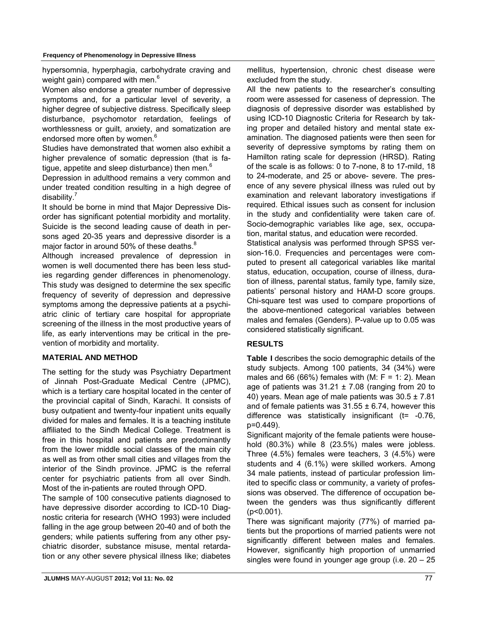#### **Frequency of Phenomenology in Depressive Illness**

hypersomnia, hyperphagia, carbohydrate craving and weight gain) compared with men.<sup>6</sup>

Women also endorse a greater number of depressive symptoms and, for a particular level of severity, a higher degree of subjective distress. Specifically sleep disturbance, psychomotor retardation, feelings of worthlessness or guilt, anxiety, and somatization are endorsed more often by women.<sup>6</sup>

Studies have demonstrated that women also exhibit a higher prevalence of somatic depression (that is fatigue, appetite and sleep disturbance) then men.<sup>6</sup>

Depression in adulthood remains a very common and under treated condition resulting in a high degree of disability.<sup>7</sup>

It should be borne in mind that Major Depressive Disorder has significant potential morbidity and mortality. Suicide is the second leading cause of death in persons aged 20-35 years and depressive disorder is a major factor in around 50% of these deaths. $8$ 

Although increased prevalence of depression in women is well documented there has been less studies regarding gender differences in phenomenology. This study was designed to determine the sex specific frequency of severity of depression and depressive symptoms among the depressive patients at a psychiatric clinic of tertiary care hospital for appropriate screening of the illness in the most productive years of life, as early interventions may be critical in the prevention of morbidity and mortality.

## **MATERIAL AND METHOD**

The setting for the study was Psychiatry Department of Jinnah Post-Graduate Medical Centre (JPMC), which is a tertiary care hospital located in the center of the provincial capital of Sindh, Karachi. It consists of busy outpatient and twenty-four inpatient units equally divided for males and females. It is a teaching institute affiliated to the Sindh Medical College. Treatment is free in this hospital and patients are predominantly from the lower middle social classes of the main city as well as from other small cities and villages from the interior of the Sindh province. JPMC is the referral center for psychiatric patients from all over Sindh. Most of the in-patients are routed through OPD.

The sample of 100 consecutive patients diagnosed to have depressive disorder according to ICD-10 Diagnostic criteria for research (WHO 1993) were included falling in the age group between 20-40 and of both the genders; while patients suffering from any other psychiatric disorder, substance misuse, mental retardation or any other severe physical illness like; diabetes mellitus, hypertension, chronic chest disease were excluded from the study.

All the new patients to the researcher's consulting room were assessed for caseness of depression. The diagnosis of depressive disorder was established by using ICD-10 Diagnostic Criteria for Research by taking proper and detailed history and mental state examination. The diagnosed patients were then seen for severity of depressive symptoms by rating them on Hamilton rating scale for depression (HRSD). Rating of the scale is as follows: 0 to 7-none, 8 to 17-mild, 18 to 24-moderate, and 25 or above- severe. The presence of any severe physical illness was ruled out by examination and relevant laboratory investigations if required. Ethical issues such as consent for inclusion in the study and confidentiality were taken care of. Socio-demographic variables like age, sex, occupation, marital status, and education were recorded.

Statistical analysis was performed through SPSS version-16.0. Frequencies and percentages were computed to present all categorical variables like marital status, education, occupation, course of illness, duration of illness, parental status, family type, family size, patients' personal history and HAM-D score groups. Chi-square test was used to compare proportions of the above-mentioned categorical variables between males and females (Genders). P-value up to 0.05 was considered statistically significant.

## **RESULTS**

**Table I** describes the socio demographic details of the study subjects. Among 100 patients, 34 (34%) were males and 66 (66%) females with (M:  $F = 1: 2$ ). Mean age of patients was  $31.21 \pm 7.08$  (ranging from 20 to 40) years. Mean age of male patients was  $30.5 \pm 7.81$ and of female patients was  $31.55 \pm 6.74$ , however this difference was statistically insignificant (t= -0.76, p=0.449).

Significant majority of the female patients were household (80.3%) while 8 (23.5%) males were jobless. Three (4.5%) females were teachers, 3 (4.5%) were students and 4 (6.1%) were skilled workers. Among 34 male patients, instead of particular profession limited to specific class or community, a variety of professions was observed. The difference of occupation between the genders was thus significantly different (p<0.001).

There was significant majority (77%) of married patients but the proportions of married patients were not significantly different between males and females. However, significantly high proportion of unmarried singles were found in younger age group (i.e. 20 – 25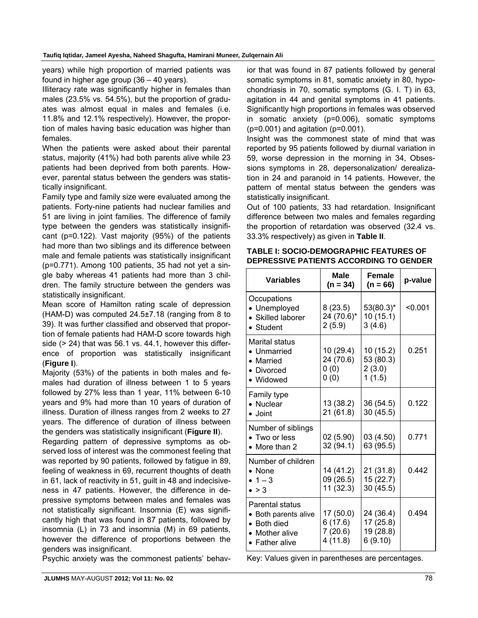years) while high proportion of married patients was found in higher age group (36 – 40 years).

Illiteracy rate was significantly higher in females than males (23.5% vs. 54.5%), but the proportion of graduates was almost equal in males and females (i.e. 11.8% and 12.1% respectively). However, the proportion of males having basic education was higher than females.

When the patients were asked about their parental status, majority (41%) had both parents alive while 23 patients had been deprived from both parents. However, parental status between the genders was statistically insignificant.

Family type and family size were evaluated among the patients. Forty-nine patients had nuclear families and 51 are living in joint families. The difference of family type between the genders was statistically insignificant (p=0.122). Vast majority (95%) of the patients had more than two siblings and its difference between male and female patients was statistically insignificant (p=0.771). Among 100 patients, 35 had not yet a single baby whereas 41 patients had more than 3 children. The family structure between the genders was statistically insignificant.

Mean score of Hamilton rating scale of depression (HAM-D) was computed 24.5±7.18 (ranging from 8 to 39). It was further classified and observed that proportion of female patients had HAM-D score towards high side (> 24) that was 56.1 vs. 44.1, however this difference of proportion was statistically insignificant (**Figure I**).

Majority (53%) of the patients in both males and females had duration of illness between 1 to 5 years followed by 27% less than 1 year, 11% between 6-10 years and 9% had more than 10 years of duration of illness. Duration of illness ranges from 2 weeks to 27 years. The difference of duration of illness between the genders was statistically insignificant (**Figure II**).

Regarding pattern of depressive symptoms as observed loss of interest was the commonest feeling that was reported by 90 patients, followed by fatigue in 89, feeling of weakness in 69, recurrent thoughts of death in 61, lack of reactivity in 51, guilt in 48 and indecisiveness in 47 patients. However, the difference in depressive symptoms between males and females was not statistically significant. Insomnia (E) was significantly high that was found in 87 patients, followed by insomnia (L) in 73 and insomnia (M) in 69 patients, however the difference of proportions between the genders was insignificant.

Psychic anxiety was the commonest patients' behav-

ior that was found in 87 patients followed by general somatic symptoms in 81, somatic anxiety in 80, hypochondriasis in 70, somatic symptoms (G. I. T) in 63, agitation in 44 and genital symptoms in 41 patients. Significantly high proportions in females was observed in somatic anxiety (p=0.006), somatic symptoms (p=0.001) and agitation (p=0.001).

Insight was the commonest state of mind that was reported by 95 patients followed by diurnal variation in 59, worse depression in the morning in 34, Obsessions symptoms in 28, depersonalization/ derealization in 24 and paranoid in 14 patients. However, the pattern of mental status between the genders was statistically insignificant.

Out of 100 patients, 33 had retardation. Insignificant difference between two males and females regarding the proportion of retardation was observed (32.4 vs. 33.3% respectively) as given in **Table II**.

| <b>Variables</b>                                                                                   | <b>Male</b><br>$(n = 34)$                   | <b>Female</b><br>$(n = 66)$                    | p-value |
|----------------------------------------------------------------------------------------------------|---------------------------------------------|------------------------------------------------|---------|
| Occupations<br>• Unemployed<br>• Skilled laborer<br>• Student                                      | 8(23.5)<br>24 (70.6)*<br>2(5.9)             | $53(80.3)^*$<br>10 (15.1)<br>3(4.6)            | < 0.001 |
| Marital status<br>• Unmarried<br>• Married<br>• Divorced<br>• Widowed                              | 10 (29.4)<br>24 (70.6)<br>0(0)<br>0(0)      | 10 (15.2)<br>53 (80.3)<br>2(3.0)<br>1(1.5)     | 0.251   |
| Family type<br>• Nuclear<br>$\bullet$ Joint                                                        | 13 (38.2)<br>21 (61.8)                      | 36 (54.5)<br>30 (45.5)                         | 0.122   |
| Number of siblings<br>• Two or less<br>• More than 2                                               | 02 (5.90)<br>32 (94.1)                      | 03 (4.50)<br>63 (95.5)                         | 0.771   |
| Number of children<br>$\bullet$ None<br>• $1 - 3$<br>$\bullet$ > 3                                 | 14 (41.2)<br>09 (26.5)<br>11 (32.3)         | 21 (31.8)<br>15 (22.7)<br>30 (45.5)            | 0.442   |
| Parental status<br>• Both parents alive<br>• Both died<br>• Mother alive<br>$\bullet$ Father alive | 17 (50.0)<br>6(17.6)<br>7(20.6)<br>4 (11.8) | 24 (36.4)<br>17 (25.8)<br>19 (28.8)<br>6(9.10) | 0.494   |

| TABLE I: SOCIO-DEMOGRAPHIC FEATURES OF         |
|------------------------------------------------|
| <b>DEPRESSIVE PATIENTS ACCORDING TO GENDER</b> |

Key: Values given in parentheses are percentages.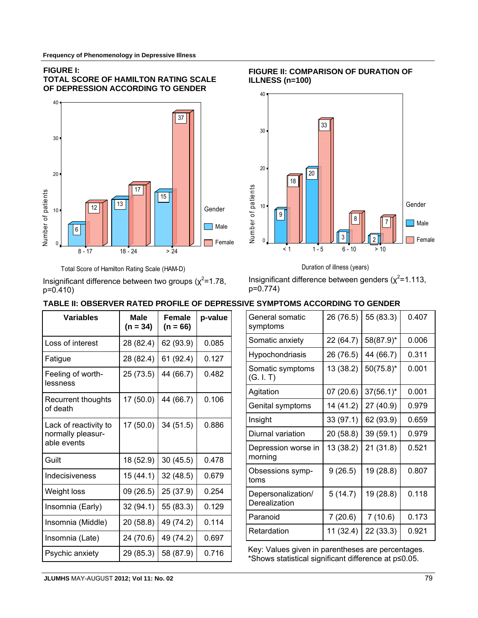#### **FIGURE I:**

#### **TOTAL SCORE OF HAMILTON RATING SCALE OF DEPRESSION ACCORDING TO GENDER**



#### Total Score of Hamilton Rating Scale (HAM-D)

Insignificant difference between two groups ( $\chi^2$ =1.78, p=0.410)

# Insignificant difference between genders ( $\chi^2$ =1.113, p=0.774)

Duration of illness (years)

# **TABLE II: OBSERVER RATED PROFILE OF DEPRESSIVE SYMPTOMS ACCORDING TO GENDER**

| <b>Variables</b>                                          | <b>Male</b><br>$(n = 34)$ | <b>Female</b><br>$(n = 66)$ | p-value |
|-----------------------------------------------------------|---------------------------|-----------------------------|---------|
| Loss of interest                                          | 28 (82.4)                 | 62 (93.9)                   | 0.085   |
| Fatigue                                                   | 28 (82.4)                 | 61 (92.4)                   | 0.127   |
| Feeling of worth-<br>lessness                             | 25 (73.5)                 | 44 (66.7)                   | 0.482   |
| Recurrent thoughts<br>of death                            | 17 (50.0)                 | 44 (66.7)                   | 0.106   |
| Lack of reactivity to<br>normally pleasur-<br>able events | 17 (50.0)                 | 34 (51.5)                   | 0.886   |
| Guilt                                                     | 18 (52.9)                 | 30(45.5)                    | 0.478   |
| Indecisiveness                                            | 15 (44.1)                 | 32(48.5)                    | 0.679   |
| Weight loss                                               | 09 (26.5)                 | 25 (37.9)                   | 0.254   |
| Insomnia (Early)                                          | 32 (94.1)                 | 55 (83.3)                   | 0.129   |
| Insomnia (Middle)                                         | 20 (58.8)                 | 49 (74.2)                   | 0.114   |
| Insomnia (Late)                                           | 24 (70.6)                 | 49 (74.2)                   | 0.697   |
| Psychic anxiety                                           | 29 (85.3)                 | 58 (87.9)                   | 0.716   |

| General somatic<br>symptoms         | 26 (76.5) | 55 (83.3)    | 0.407 |
|-------------------------------------|-----------|--------------|-------|
| Somatic anxiety                     | 22 (64.7) | 58(87.9)*    | 0.006 |
| Hypochondriasis                     | 26 (76.5) | 44 (66.7)    | 0.311 |
| Somatic symptoms<br>(G. I. T)       | 13 (38.2) | $50(75.8)^*$ | 0.001 |
| Agitation                           | 07 (20.6) | $37(56.1)^*$ | 0.001 |
| Genital symptoms                    | 14 (41.2) | 27 (40.9)    | 0.979 |
| Insight                             | 33 (97.1) | 62 (93.9)    | 0.659 |
| Diurnal variation                   | 20 (58.8) | 39 (59.1)    | 0.979 |
| Depression worse in<br>morning      | 13 (38.2) | 21 (31.8)    | 0.521 |
| Obsessions symp-<br>toms            | 9(26.5)   | 19 (28.8)    | 0.807 |
| Depersonalization/<br>Derealization | 5(14.7)   | 19 (28.8)    | 0.118 |
| Paranoid                            | 7(20.6)   | 7(10.6)      | 0.173 |
| Retardation                         | 11 (32.4) | 22 (33.3)    | 0.921 |

Key: Values given in parentheses are percentages. \*Shows statistical significant difference at p≤0.05.

**FIGURE II: COMPARISON OF DURATION OF ILLNESS (n=100)**

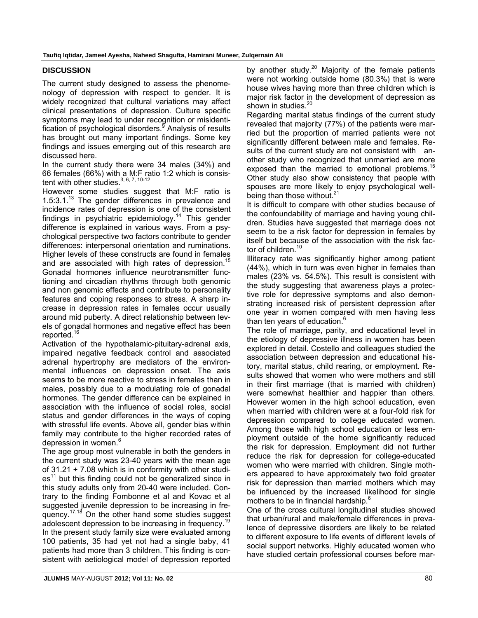# **DISCUSSION**

The current study designed to assess the phenomenology of depression with respect to gender. It is widely recognized that cultural variations may affect clinical presentations of depression. Culture specific symptoms may lead to under recognition or misidentification of psychological disorders.<sup>9</sup> Analysis of results has brought out many important findings. Some key findings and issues emerging out of this research are discussed here.

In the current study there were 34 males (34%) and 66 females (66%) with a M:F ratio 1:2 which is consistent with other studies.  $3, 6, 7, 10-12$ 

However some studies suggest that M:F ratio is  $1.5:3.1<sup>13</sup>$  The gender differences in prevalence and incidence rates of depression is one of the consistent findings in psychiatric epidemiology.<sup>14</sup> This gender difference is explained in various ways. From a psychological perspective two factors contribute to gender differences: interpersonal orientation and ruminations. Higher levels of these constructs are found in females and are associated with high rates of depression.<sup>15</sup> Gonadal hormones influence neurotransmitter functioning and circadian rhythms through both genomic and non genomic effects and contribute to personality features and coping responses to stress. A sharp increase in depression rates in females occur usually around mid puberty. A direct relationship between levels of gonadal hormones and negative effect has been reported.16

Activation of the hypothalamic-pituitary-adrenal axis, impaired negative feedback control and associated adrenal hypertrophy are mediators of the environmental influences on depression onset. The axis seems to be more reactive to stress in females than in males, possibly due to a modulating role of gonadal hormones. The gender difference can be explained in association with the influence of social roles, social status and gender differences in the ways of coping with stressful life events. Above all, gender bias within family may contribute to the higher recorded rates of depression in women.<sup>6</sup>

The age group most vulnerable in both the genders in the current study was 23-40 years with the mean age of 31.21 + 7.08 which is in conformity with other studi $es<sup>11</sup>$  but this finding could not be generalized since in this study adults only from 20-40 were included. Contrary to the finding Fombonne et al and Kovac et al suggested juvenile depression to be increasing in frequency.<sup>17,18</sup> On the other hand some studies suggest adolescent depression to be increasing in frequency.<sup>19</sup> In the present study family size were evaluated among 100 patients, 35 had yet not had a single baby, 41 patients had more than 3 children. This finding is consistent with aetiological model of depression reported by another study. $20$  Majority of the female patients were not working outside home (80.3%) that is were house wives having more than three children which is major risk factor in the development of depression as shown in studies.<sup>20</sup>

Regarding marital status findings of the current study revealed that majority (77%) of the patients were married but the proportion of married patients were not significantly different between male and females. Results of the current study are not consistent with another study who recognized that unmarried are more exposed than the married to emotional problems.<sup>15</sup> Other study also show consistency that people with spouses are more likely to enjoy psychological wellbeing than those without.<sup>21</sup>

It is difficult to compare with other studies because of the confoundability of marriage and having young children. Studies have suggested that marriage does not seem to be a risk factor for depression in females by itself but because of the association with the risk factor of children.<sup>10</sup>

Illiteracy rate was significantly higher among patient (44%), which in turn was even higher in females than males (23% vs. 54.5%). This result is consistent with the study suggesting that awareness plays a protective role for depressive symptoms and also demonstrating increased risk of persistent depression after one year in women compared with men having less than ten years of education.<sup>6</sup>

The role of marriage, parity, and educational level in the etiology of depressive illness in women has been explored in detail. Costello and colleagues studied the association between depression and educational history, marital status, child rearing, or employment. Results showed that women who were mothers and still in their first marriage (that is married with children) were somewhat healthier and happier than others. However women in the high school education, even when married with children were at a four-fold risk for depression compared to college educated women. Among those with high school education or less employment outside of the home significantly reduced the risk for depression. Employment did not further reduce the risk for depression for college-educated women who were married with children. Single mothers appeared to have approximately two fold greater risk for depression than married mothers which may be influenced by the increased likelihood for single mothers to be in financial hardship.<sup>6</sup>

One of the cross cultural longitudinal studies showed that urban/rural and male/female differences in prevalence of depressive disorders are likely to be related to different exposure to life events of different levels of social support networks. Highly educated women who have studied certain professional courses before mar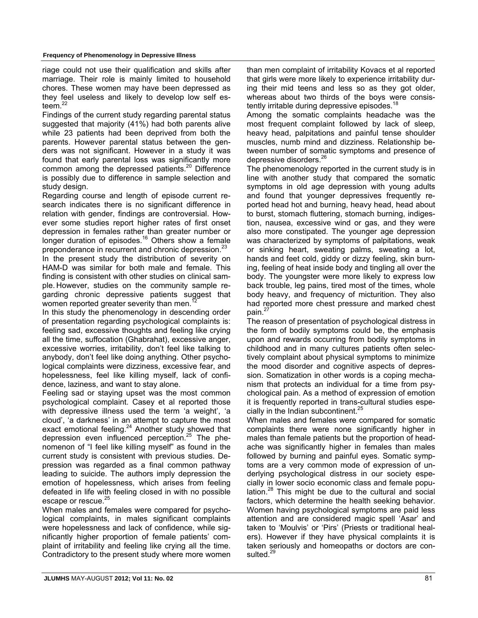riage could not use their qualification and skills after marriage. Their role is mainly limited to household chores. These women may have been depressed as they feel useless and likely to develop low self esteem. $^{22}$ 

Findings of the current study regarding parental status suggested that majority (41%) had both parents alive while 23 patients had been deprived from both the parents. However parental status between the genders was not significant. However in a study it was found that early parental loss was significantly more common among the depressed patients.<sup>20</sup> Difference is possibly due to difference in sample selection and study design.

Regarding course and length of episode current research indicates there is no significant difference in relation with gender, findings are controversial. However some studies report higher rates of first onset depression in females rather than greater number or longer duration of episodes.<sup>16</sup> Others show a female preponderance in recurrent and chronic depression.<sup>23</sup>

In the present study the distribution of severity on HAM-D was similar for both male and female. This finding is consistent with other studies on clinical sample. However, studies on the community sample regarding chronic depressive patients suggest that women reported greater severity than men.<sup>1</sup>

In this study the phenomenology in descending order of presentation regarding psychological complaints is: feeling sad, excessive thoughts and feeling like crying all the time, suffocation (Ghabrahat), excessive anger, excessive worries, irritability, don't feel like talking to anybody, don't feel like doing anything. Other psychological complaints were dizziness, excessive fear, and hopelessness, feel like killing myself, lack of confidence, laziness, and want to stay alone.

Feeling sad or staying upset was the most common psychological complaint. Casey et al reported those with depressive illness used the term 'a weight', 'a cloud', 'a darkness' in an attempt to capture the most exact emotional feeling. $24$  Another study showed that depression even influenced perception.<sup>25</sup> The phenomenon of "I feel like killing myself" as found in the current study is consistent with previous studies. Depression was regarded as a final common pathway leading to suicide. The authors imply depression the emotion of hopelessness, which arises from feeling defeated in life with feeling closed in with no possible escape or rescue.<sup>25</sup>

When males and females were compared for psychological complaints, in males significant complaints were hopelessness and lack of confidence, while significantly higher proportion of female patients' complaint of irritability and feeling like crying all the time. Contradictory to the present study where more women than men complaint of irritability Kovacs et al reported that girls were more likely to experience irritability during their mid teens and less so as they got older, whereas about two thirds of the boys were consistently irritable during depressive episodes.<sup>18</sup>

Among the somatic complaints headache was the most frequent complaint followed by lack of sleep, heavy head, palpitations and painful tense shoulder muscles, numb mind and dizziness. Relationship between number of somatic symptoms and presence of depressive disorders.<sup>26</sup>

The phenomenology reported in the current study is in line with another study that compared the somatic symptoms in old age depression with young adults and found that younger depressives frequently reported head hot and burning, heavy head, head about to burst, stomach fluttering, stomach burning, indigestion, nausea, excessive wind or gas, and they were also more constipated. The younger age depression was characterized by symptoms of palpitations, weak or sinking heart, sweating palms, sweating a lot, hands and feet cold, giddy or dizzy feeling, skin burning, feeling of heat inside body and tingling all over the body. The youngster were more likely to express low back trouble, leg pains, tired most of the times, whole body heavy, and frequency of micturition. They also had reported more chest pressure and marked chest pain.<sup>27</sup>

The reason of presentation of psychological distress in the form of bodily symptoms could be, the emphasis upon and rewards occurring from bodily symptoms in childhood and in many cultures patients often selectively complaint about physical symptoms to minimize the mood disorder and cognitive aspects of depression. Somatization in other words is a coping mechanism that protects an individual for a time from psychological pain. As a method of expression of emotion it is frequently reported in trans-cultural studies especially in the Indian subcontinent.<sup>25</sup>

When males and females were compared for somatic complaints there were none significantly higher in males than female patients but the proportion of headache was significantly higher in females than males followed by burning and painful eyes. Somatic symptoms are a very common mode of expression of underlying psychological distress in our society especially in lower socio economic class and female population.<sup>28</sup> This might be due to the cultural and social factors, which determine the health seeking behavior. Women having psychological symptoms are paid less attention and are considered magic spell 'Asar' and taken to 'Moulvis' or 'Pirs' (Priests or traditional healers). However if they have physical complaints it is taken seriously and homeopaths or doctors are consulted.<sup>29</sup>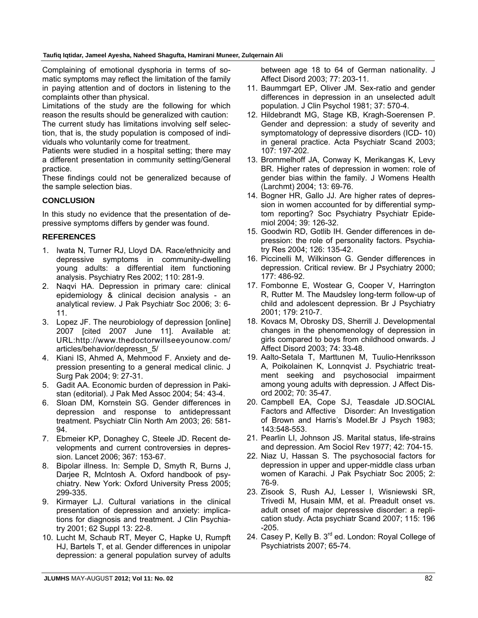Complaining of emotional dysphoria in terms of somatic symptoms may reflect the limitation of the family in paying attention and of doctors in listening to the complaints other than physical.

Limitations of the study are the following for which reason the results should be generalized with caution:

The current study has limitations involving self selection, that is, the study population is composed of individuals who voluntarily come for treatment.

Patients were studied in a hospital setting; there may a different presentation in community setting/General practice.

These findings could not be generalized because of the sample selection bias.

# **CONCLUSION**

In this study no evidence that the presentation of depressive symptoms differs by gender was found.

## **REFERENCES**

- 1. Iwata N, Turner RJ, Lloyd DA. Race/ethnicity and depressive symptoms in community-dwelling young adults: a differential item functioning analysis. Psychiatry Res 2002; 110: 281-9.
- 2. Naqvi HA. Depression in primary care: clinical epidemiology & clinical decision analysis - an analytical review. J Pak Psychiatr Soc 2006; 3: 6- 11.
- 3. Lopez JF. The neurobiology of depression [online] 2007 [cited 2007 June 11]. Available at: URL:http://www.thedoctorwillseeyounow.com/ articles/behavior/depressn\_5/
- 4. Kiani IS, Ahmed A, Mehmood F. Anxiety and depression presenting to a general medical clinic. J Surg Pak 2004; 9: 27-31.
- 5. Gadit AA. Economic burden of depression in Pakistan (editorial). J Pak Med Assoc 2004; 54: 43-4.
- 6. Sloan DM, Kornstein SG. Gender differences in depression and response to antidepressant treatment. Psychiatr Clin North Am 2003; 26: 581- 94.
- 7. Ebmeier KP, Donaghey C, Steele JD. Recent developments and current controversies in depression. Lancet 2006; 367: 153-67.
- 8. Bipolar illness. In: Semple D, Smyth R, Burns J, Darjee R, Mclntosh A. Oxford handbook of psychiatry. New York: Oxford University Press 2005; 299-335.
- 9. Kirmayer LJ. Cultural variations in the clinical presentation of depression and anxiety: implications for diagnosis and treatment. J Clin Psychiatry 2001; 62 Suppl 13: 22-8.
- 10. Lucht M, Schaub RT, Meyer C, Hapke U, Rumpft HJ, Bartels T, et al. Gender differences in unipolar depression: a general population survey of adults

between age 18 to 64 of German nationality. J Affect Disord 2003; 77: 203-11.

- 11. Baummgart EP, Oliver JM. Sex-ratio and gender differences in depression in an unselected adult population. J Clin Psychol 1981; 37: 570-4.
- 12. Hildebrandt MG, Stage KB, Kragh-Soerensen P. Gender and depression: a study of severity and symptomatology of depressive disorders (ICD- 10) in general practice. Acta Psychiatr Scand 2003; 107: 197-202.
- 13. Brommelhoff JA, Conway K, Merikangas K, Levy BR. Higher rates of depression in women: role of gender bias within the family. J Womens Health (Larchmt) 2004; 13: 69-76.
- 14. Bogner HR, Gallo JJ. Are higher rates of depression in women accounted for by differential symptom reporting? Soc Psychiatry Psychiatr Epidemiol 2004; 39: 126-32.
- 15. Goodwin RD, Gotlib IH. Gender differences in depression: the role of personality factors. Psychiatry Res 2004; 126: 135-42.
- 16. Piccinelli M, Wilkinson G. Gender differences in depression. Critical review. Br J Psychiatry 2000; 177: 486-92.
- 17. Fombonne E, Wostear G, Cooper V, Harrington R, Rutter M. The Maudsley long-term follow-up of child and adolescent depression. Br J Psychiatry 2001; 179: 210-7.
- 18. Kovacs M, Obrosky DS, Sherrill J. Developmental changes in the phenomenology of depression in girls compared to boys from childhood onwards. J Affect Disord 2003; 74: 33-48.
- 19. Aalto-Setala T, Marttunen M, Tuulio-Henriksson A, Poikolainen K, Lonnqvist J. Psychiatric treatment seeking and psychosocial impairment among young adults with depression. J Affect Disord 2002; 70: 35-47.
- 20. Campbell EA, Cope SJ, Teasdale JD.SOCIAL Factors and Affective Disorder: An Investigation of Brown and Harris's Model.Br J Psych 1983; 143:548-553.
- 21. Pearlin LI, Johnson JS. Marital status, life-strains and depression. Am Sociol Rev 1977; 42: 704-15.
- 22. Niaz U, Hassan S. The psychosocial factors for depression in upper and upper-middle class urban women of Karachi. J Pak Psychiatr Soc 2005; 2: 76-9.
- 23. Zisook S, Rush AJ, Lesser I, Wisniewski SR, Trivedi M, Husain MM, et al. Preadult onset vs. adult onset of major depressive disorder: a replication study. Acta psychiatr Scand 2007; 115: 196 -205.
- 24. Casey P, Kelly B. 3<sup>rd</sup> ed. London: Royal College of Psychiatrists 2007; 65-74.